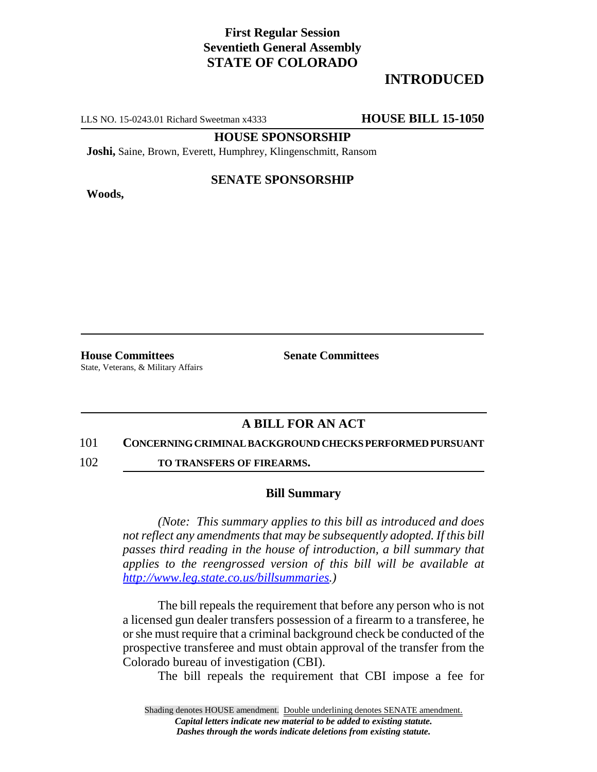# **First Regular Session Seventieth General Assembly STATE OF COLORADO**

# **INTRODUCED**

LLS NO. 15-0243.01 Richard Sweetman x4333 **HOUSE BILL 15-1050**

### **HOUSE SPONSORSHIP**

**Joshi,** Saine, Brown, Everett, Humphrey, Klingenschmitt, Ransom

**Woods,**

## **SENATE SPONSORSHIP**

**House Committees Senate Committees** State, Veterans, & Military Affairs

## **A BILL FOR AN ACT**

#### 101 **CONCERNING CRIMINAL BACKGROUND CHECKS PERFORMED PURSUANT**

102 **TO TRANSFERS OF FIREARMS.** 

### **Bill Summary**

*(Note: This summary applies to this bill as introduced and does not reflect any amendments that may be subsequently adopted. If this bill passes third reading in the house of introduction, a bill summary that applies to the reengrossed version of this bill will be available at http://www.leg.state.co.us/billsummaries.)*

The bill repeals the requirement that before any person who is not a licensed gun dealer transfers possession of a firearm to a transferee, he or she must require that a criminal background check be conducted of the prospective transferee and must obtain approval of the transfer from the Colorado bureau of investigation (CBI).

The bill repeals the requirement that CBI impose a fee for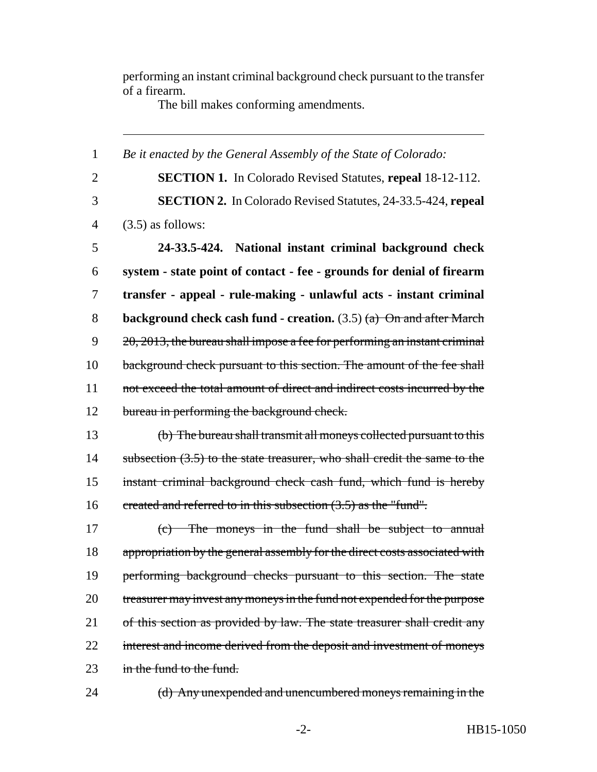performing an instant criminal background check pursuant to the transfer of a firearm.

The bill makes conforming amendments.

1 *Be it enacted by the General Assembly of the State of Colorado:* 2 **SECTION 1.** In Colorado Revised Statutes, **repeal** 18-12-112. 3 **SECTION 2.** In Colorado Revised Statutes, 24-33.5-424, **repeal** 4 (3.5) as follows: 5 **24-33.5-424. National instant criminal background check** 6 **system - state point of contact - fee - grounds for denial of firearm** 7 **transfer - appeal - rule-making - unlawful acts - instant criminal** 8 **background check cash fund - creation.** (3.5) (a) On and after March  $9 \qquad 20,2013$ , the bureau shall impose a fee for performing an instant criminal 10 background check pursuant to this section. The amount of the fee shall 11 not exceed the total amount of direct and indirect costs incurred by the 12 bureau in performing the background check. 13 (b) The bureau shall transmit all moneys collected pursuant to this 14 subsection (3.5) to the state treasurer, who shall credit the same to the 15 instant criminal background check cash fund, which fund is hereby 16 created and referred to in this subsection (3.5) as the "fund". 17 (c) The moneys in the fund shall be subject to annual 18 appropriation by the general assembly for the direct costs associated with 19 performing background checks pursuant to this section. The state 20 treasurer may invest any moneys in the fund not expended for the purpose 21 of this section as provided by law. The state treasurer shall credit any 22 interest and income derived from the deposit and investment of moneys 23 in the fund to the fund. 24 (d) Any unexpended and unencumbered moneys remaining in the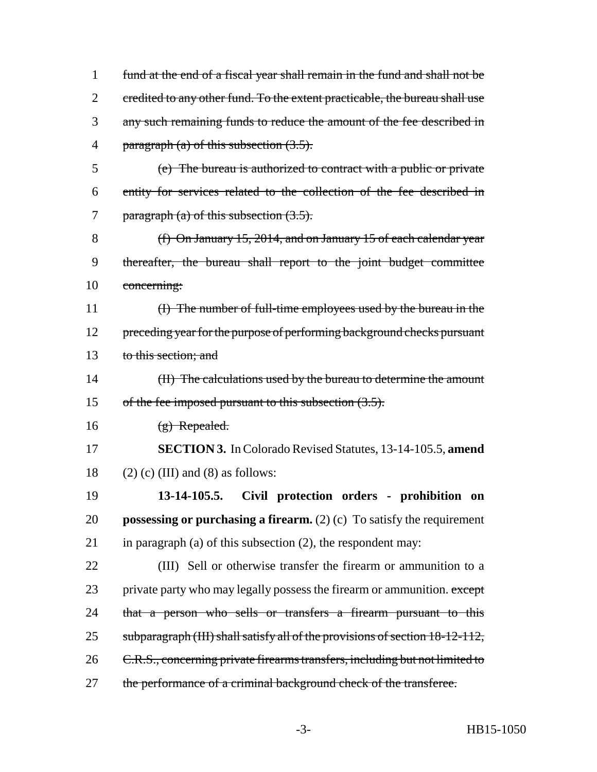| $\mathbf{1}$   | fund at the end of a fiscal year shall remain in the fund and shall not be    |
|----------------|-------------------------------------------------------------------------------|
| $\overline{2}$ | eredited to any other fund. To the extent practicable, the bureau shall use   |
| 3              | any such remaining funds to reduce the amount of the fee described in         |
| 4              | paragraph $(a)$ of this subsection $(3.5)$ .                                  |
| 5              | (e) The bureau is authorized to contract with a public or private             |
| 6              | entity for services related to the collection of the fee described in         |
| 7              | paragraph (a) of this subsection $(3.5)$ .                                    |
| 8              | $(f)$ On January 15, 2014, and on January 15 of each calendar year            |
| 9              | thereafter, the bureau shall report to the joint budget committee             |
| 10             | concerning:                                                                   |
| 11             | (I) The number of full-time employees used by the bureau in the               |
| 12             | preceding year for the purpose of performing background checks pursuant       |
| 13             | to this section; and                                                          |
| 14             | (II) The calculations used by the bureau to determine the amount              |
| 15             | of the fee imposed pursuant to this subsection $(3.5)$ .                      |
| 16             | $(g)$ Repealed.                                                               |
| 17             | <b>SECTION 3.</b> In Colorado Revised Statutes, 13-14-105.5, amend            |
| 18             | $(2)$ (c) (III) and (8) as follows:                                           |
| 19             | 13-14-105.5.<br>Civil protection orders - prohibition on                      |
| 20             | <b>possessing or purchasing a firearm.</b> (2) (c) To satisfy the requirement |
| 21             | in paragraph $(a)$ of this subsection $(2)$ , the respondent may:             |
| 22             | (III) Sell or otherwise transfer the firearm or ammunition to a               |
| 23             | private party who may legally possess the firearm or ammunition. except       |
| 24             | that a person who sells or transfers a firearm pursuant to this               |
| 25             | subparagraph (III) shall satisfy all of the provisions of section 18-12-112,  |
| 26             | C.R.S., concerning private firearms transfers, including but not limited to   |
| 27             | the performance of a criminal background check of the transferee.             |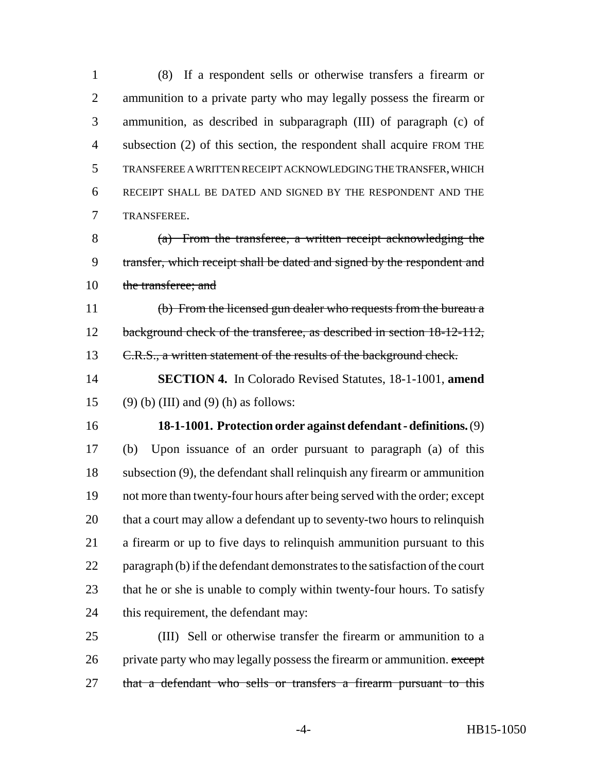(8) If a respondent sells or otherwise transfers a firearm or ammunition to a private party who may legally possess the firearm or ammunition, as described in subparagraph (III) of paragraph (c) of subsection (2) of this section, the respondent shall acquire FROM THE TRANSFEREE A WRITTEN RECEIPT ACKNOWLEDGING THE TRANSFER, WHICH RECEIPT SHALL BE DATED AND SIGNED BY THE RESPONDENT AND THE TRANSFEREE.

 (a) From the transferee, a written receipt acknowledging the transfer, which receipt shall be dated and signed by the respondent and the transferee; and

 (b) From the licensed gun dealer who requests from the bureau a 12 background check of the transferee, as described in section 18-12-112, 13 C.R.S., a written statement of the results of the background check.

 **SECTION 4.** In Colorado Revised Statutes, 18-1-1001, **amend** 15 (9) (b) (III) and (9) (h) as follows:

**18-1-1001. Protection order against defendant - definitions.** (9)

 (b) Upon issuance of an order pursuant to paragraph (a) of this subsection (9), the defendant shall relinquish any firearm or ammunition not more than twenty-four hours after being served with the order; except that a court may allow a defendant up to seventy-two hours to relinquish a firearm or up to five days to relinquish ammunition pursuant to this paragraph (b) if the defendant demonstrates to the satisfaction of the court 23 that he or she is unable to comply within twenty-four hours. To satisfy this requirement, the defendant may:

 (III) Sell or otherwise transfer the firearm or ammunition to a 26 private party who may legally possess the firearm or ammunition. except 27 that a defendant who sells or transfers a firearm pursuant to this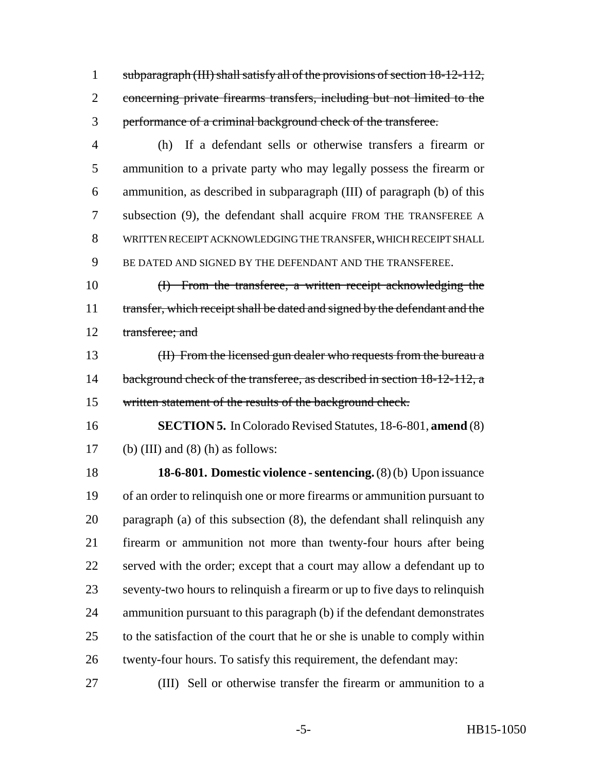subparagraph (III) shall satisfy all of the provisions of section 18-12-112, concerning private firearms transfers, including but not limited to the performance of a criminal background check of the transferee.

 (h) If a defendant sells or otherwise transfers a firearm or ammunition to a private party who may legally possess the firearm or ammunition, as described in subparagraph (III) of paragraph (b) of this subsection (9), the defendant shall acquire FROM THE TRANSFEREE A WRITTEN RECEIPT ACKNOWLEDGING THE TRANSFER, WHICH RECEIPT SHALL BE DATED AND SIGNED BY THE DEFENDANT AND THE TRANSFEREE.

 (I) From the transferee, a written receipt acknowledging the 11 transfer, which receipt shall be dated and signed by the defendant and the transferee; and

 (II) From the licensed gun dealer who requests from the bureau a 14 background check of the transferee, as described in section 18-12-112, a written statement of the results of the background check.

 **SECTION 5.** In Colorado Revised Statutes, 18-6-801, **amend** (8) 17 (b) (III) and (8) (h) as follows:

 **18-6-801. Domestic violence - sentencing.** (8) (b) Upon issuance of an order to relinquish one or more firearms or ammunition pursuant to paragraph (a) of this subsection (8), the defendant shall relinquish any firearm or ammunition not more than twenty-four hours after being served with the order; except that a court may allow a defendant up to seventy-two hours to relinquish a firearm or up to five days to relinquish ammunition pursuant to this paragraph (b) if the defendant demonstrates to the satisfaction of the court that he or she is unable to comply within twenty-four hours. To satisfy this requirement, the defendant may:

(III) Sell or otherwise transfer the firearm or ammunition to a